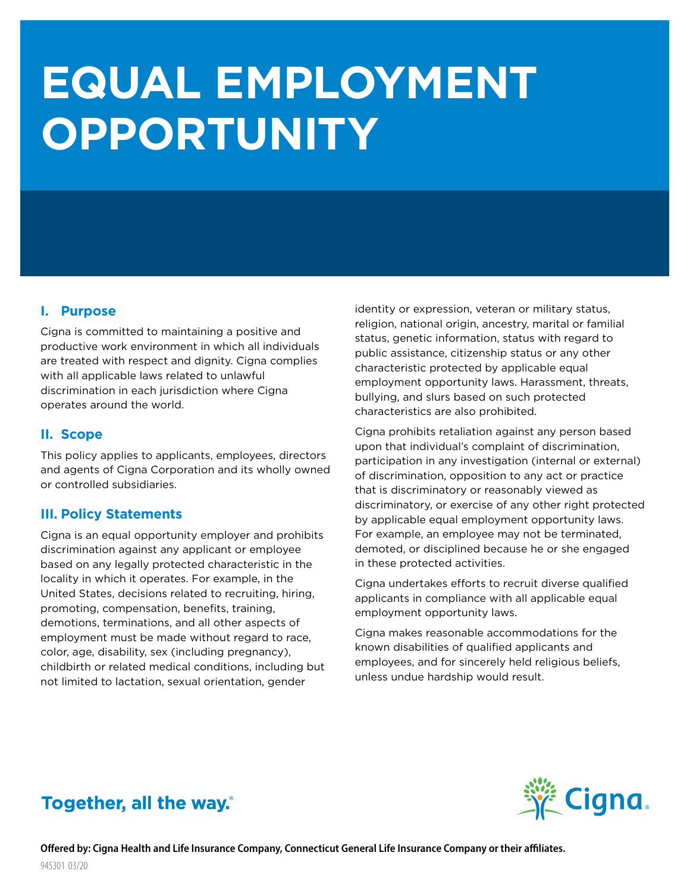# **EQUAL EMPLOYMENT OPPORTUNITY**

#### **I. Purpose**

Cigna is committed to maintaining a positive and productive work environment in which all individuals are treated with respect and dignity. Cigna complies with all applicable laws related to unlawful discrimination in each jurisdiction where Cigna operates around the world.

#### **II. Scope**

This policy applies to applicants, employees, directors and agents of Cigna Corporation and its wholly owned or controlled subsidiaries.

#### **III. Policy Statements**

Cigna is an equal opportunity employer and prohibits discrimination against any applicant or employee based on any legally protected characteristic in the locality in which it operates. For example, in the United States, decisions related to recruiting, hiring, promoting, compensation, benefits, training, demotions, terminations, and all other aspects of employment must be made without regard to race, color, age, disability, sex (including pregnancy), childbirth or related medical conditions, including but not limited to lactation, sexual orientation, gender

identity or expression, veteran or military status, religion, national origin, ancestry, marital or familial status, genetic information, status with regard to public assistance, citizenship status or any other characteristic protected by applicable equal employment opportunity laws. Harassment, threats, bullying, and slurs based on such protected characteristics are also prohibited.

Cigna prohibits retaliation against any person based upon that individual's complaint of discrimination, participation in any investigation (internal or external) of discrimination, opposition to any act or practice that is discriminatory or reasonably viewed as discriminatory, or exercise of any other right protected by applicable equal employment opportunity laws. For example, an employee may not be terminated, demoted, or disciplined because he or she engaged in these protected activities.

Cigna undertakes efforts to recruit diverse qualified applicants in compliance with all applicable equal employment opportunity laws.

Cigna makes reasonable accommodations for the known disabilities of qualified applicants and employees, and for sincerely held religious beliefs, unless undue hardship would result.

## Together, all the way.